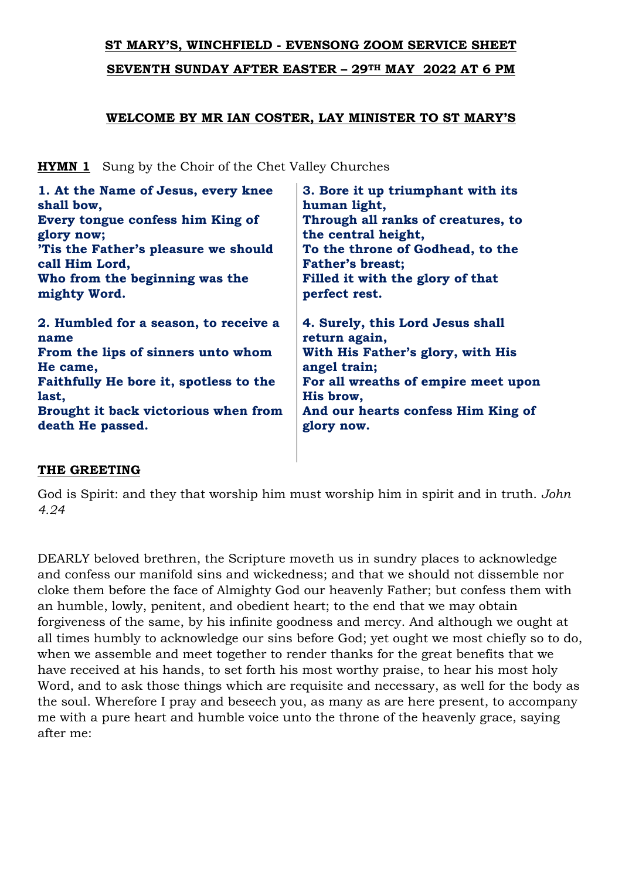# **ST MARY'S, WINCHFIELD - EVENSONG ZOOM SERVICE SHEET**

**SEVENTH SUNDAY AFTER EASTER – 29TH MAY 2022 AT 6 PM** 

## **WELCOME BY MR IAN COSTER, LAY MINISTER TO ST MARY'S**

**HYMN 1** Sung by the Choir of the Chet Valley Churches

| 1. At the Name of Jesus, every knee    | 3. Bore it up triumphant with its   |
|----------------------------------------|-------------------------------------|
| shall bow,                             | human light,                        |
| Every tongue confess him King of       | Through all ranks of creatures, to  |
| glory now;                             | the central height,                 |
| 'Tis the Father's pleasure we should   | To the throne of Godhead, to the    |
| call Him Lord,                         | <b>Father's breast;</b>             |
| Who from the beginning was the         | Filled it with the glory of that    |
| mighty Word.                           | perfect rest.                       |
| 2. Humbled for a season, to receive a  | 4. Surely, this Lord Jesus shall    |
| name                                   | return again,                       |
| From the lips of sinners unto whom     | With His Father's glory, with His   |
| He came,                               | angel train;                        |
| Faithfully He bore it, spotless to the | For all wreaths of empire meet upon |
| last,                                  | His brow,                           |
| Brought it back victorious when from   | And our hearts confess Him King of  |
| death He passed.                       | glory now.                          |

## **THE GREETING**

God is Spirit: and they that worship him must worship him in spirit and in truth. *John 4.24*

DEARLY beloved brethren, the Scripture moveth us in sundry places to acknowledge and confess our manifold sins and wickedness; and that we should not dissemble nor cloke them before the face of Almighty God our heavenly Father; but confess them with an humble, lowly, penitent, and obedient heart; to the end that we may obtain forgiveness of the same, by his infinite goodness and mercy. And although we ought at all times humbly to acknowledge our sins before God; yet ought we most chiefly so to do, when we assemble and meet together to render thanks for the great benefits that we have received at his hands, to set forth his most worthy praise, to hear his most holy Word, and to ask those things which are requisite and necessary, as well for the body as the soul. Wherefore I pray and beseech you, as many as are here present, to accompany me with a pure heart and humble voice unto the throne of the heavenly grace, saying after me: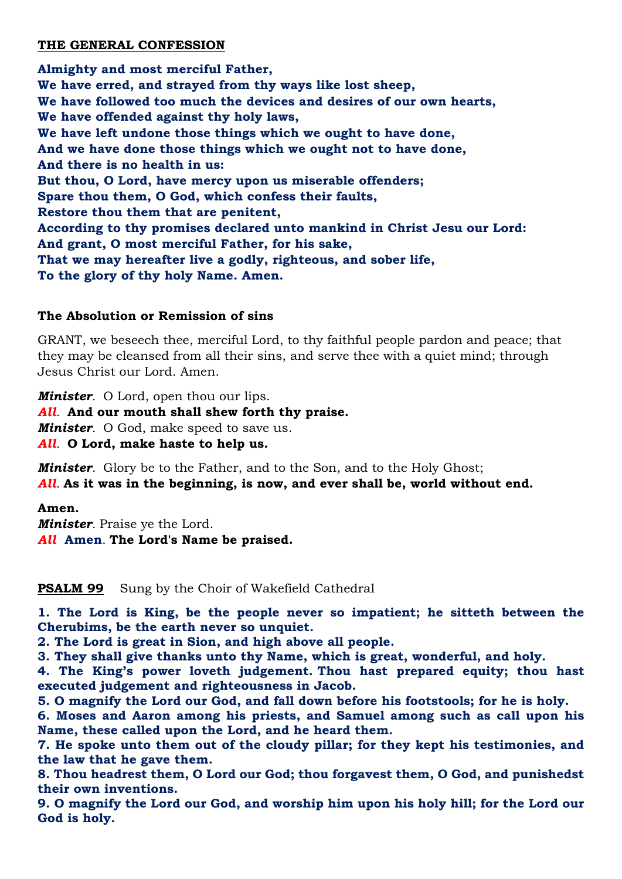## **THE GENERAL CONFESSION**

**Almighty and most merciful Father, We have erred, and strayed from thy ways like lost sheep, We have followed too much the devices and desires of our own hearts, We have offended against thy holy laws, We have left undone those things which we ought to have done, And we have done those things which we ought not to have done, And there is no health in us: But thou, O Lord, have mercy upon us miserable offenders; Spare thou them, O God, which confess their faults, Restore thou them that are penitent, According to thy promises declared unto mankind in Christ Jesu our Lord: And grant, O most merciful Father, for his sake, That we may hereafter live a godly, righteous, and sober life, To the glory of thy holy Name. Amen.**

## **The Absolution or Remission of sins**

GRANT, we beseech thee, merciful Lord, to thy faithful people pardon and peace; that they may be cleansed from all their sins, and serve thee with a quiet mind; through Jesus Christ our Lord. Amen.

*Minister.* O Lord, open thou our lips. *All.* **And our mouth shall shew forth thy praise.** *Minister.* O God, make speed to save us. *All.* **O Lord, make haste to help us.**

*Minister.* Glory be to the Father, and to the Son, and to the Holy Ghost; *All.* **As it was in the beginning, is now, and ever shall be, world without end.**

## **Amen.**

*Minister.* Praise ye the Lord. *All* **Amen***.* **The Lord's Name be praised.**

**PSALM 99** Sung by the Choir of Wakefield Cathedral

**1. The Lord is King, be the people never so impatient; he sitteth between the Cherubims, be the earth never so unquiet.**

**2. The Lord is great in Sion, and high above all people.**

**3. They shall give thanks unto thy Name, which is great, wonderful, and holy.**

**4. The King's power loveth judgement. Thou hast prepared equity; thou hast executed judgement and righteousness in Jacob.**

**5. O magnify the Lord our God, and fall down before his footstools; for he is holy.**

**6. Moses and Aaron among his priests, and Samuel among such as call upon his Name, these called upon the Lord, and he heard them.**

**7. He spoke unto them out of the cloudy pillar; for they kept his testimonies, and the law that he gave them.**

**8. Thou headrest them, O Lord our God; thou forgavest them, O God, and punishedst their own inventions.**

**9. O magnify the Lord our God, and worship him upon his holy hill; for the Lord our God is holy.**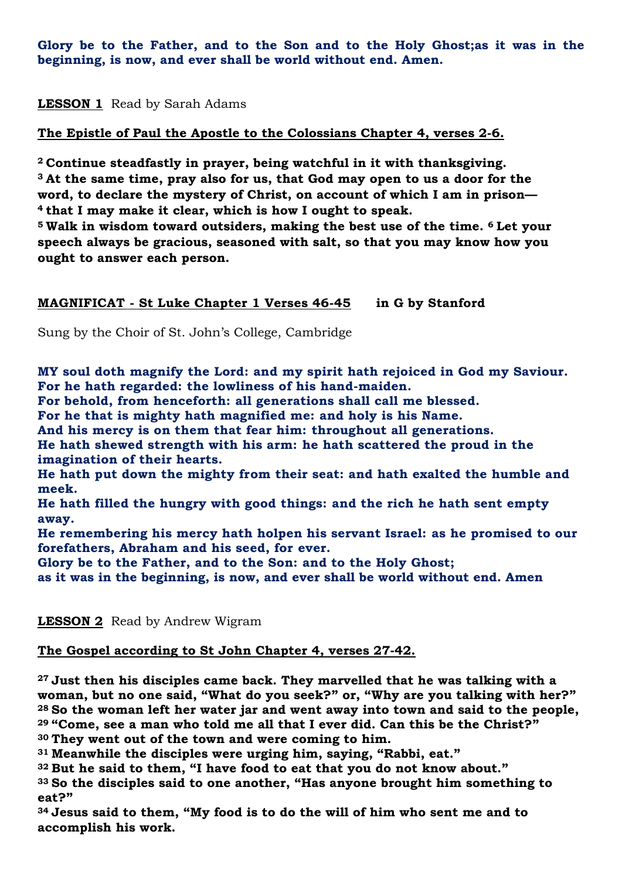**Glory be to the Father, and to the Son and to the Holy Ghost;as it was in the beginning, is now, and ever shall be world without end. Amen.** 

**LESSON 1** Read by Sarah Adams

**The Epistle of Paul the Apostle to the Colossians Chapter 4, verses 2-6.**

 **Continue steadfastly in prayer, being watchful in it with thanksgiving. At the same time, pray also for us, that God may open to us a door for the word, to declare the mystery of Christ, on account of which I am in prison— that I may make it clear, which is how I ought to speak.**

**<sup>5</sup> Walk in wisdom toward outsiders, making the best use of the time. <sup>6</sup> Let your speech always be gracious, seasoned with salt, so that you may know how you ought to answer each person.**

# **MAGNIFICAT - St Luke Chapter 1 Verses 46-45 in G by Stanford**

Sung by the Choir of St. John's College, Cambridge

**MY soul doth magnify the Lord: and my spirit hath rejoiced in God my Saviour. For he hath regarded: the lowliness of his hand-maiden.**

**For behold, from henceforth: all generations shall call me blessed.**

**For he that is mighty hath magnified me: and holy is his Name.**

**And his mercy is on them that fear him: throughout all generations.**

**He hath shewed strength with his arm: he hath scattered the proud in the imagination of their hearts.**

**He hath put down the mighty from their seat: and hath exalted the humble and meek.**

**He hath filled the hungry with good things: and the rich he hath sent empty away.**

**He remembering his mercy hath holpen his servant Israel: as he promised to our forefathers, Abraham and his seed, for ever.**

**Glory be to the Father, and to the Son: and to the Holy Ghost;**

**as it was in the beginning, is now, and ever shall be world without end. Amen**

**LESSON 2** Read by Andrew Wigram

## **The Gospel according to St John Chapter 4, verses 27-42.**

 **Just then his disciples came back. They marvelled that he was talking with a woman, but no one said, "What do you seek?" or, "Why are you talking with her?" So the woman left her water jar and went away into town and said to the people, "Come, see a man who told me all that I ever did. Can this be the Christ?" They went out of the town and were coming to him.**

**<sup>31</sup> Meanwhile the disciples were urging him, saying, "Rabbi, eat."**

**<sup>32</sup> But he said to them, "I have food to eat that you do not know about."**

**<sup>33</sup> So the disciples said to one another, "Has anyone brought him something to eat?"**

**<sup>34</sup> Jesus said to them, "My food is to do the will of him who sent me and to accomplish his work.**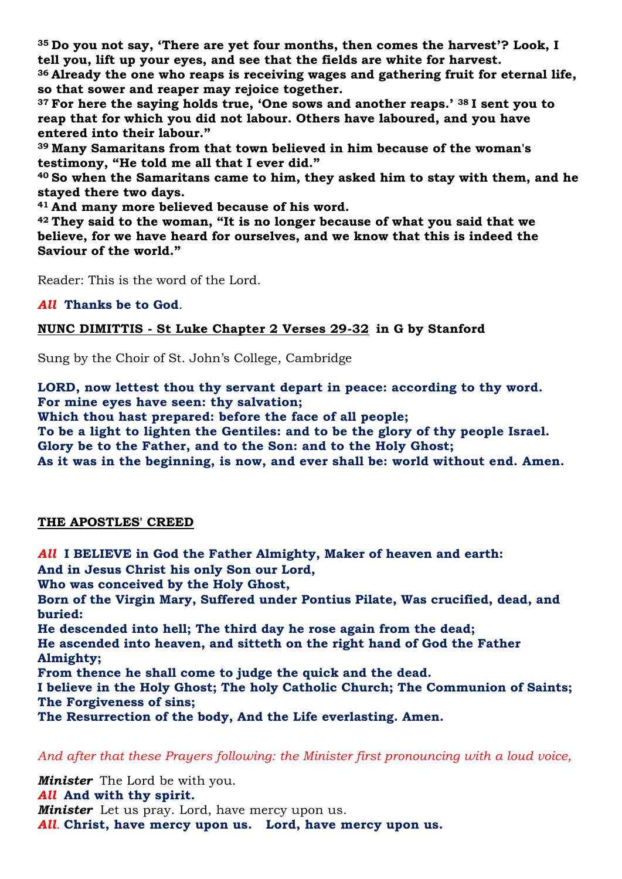**<sup>35</sup> Do you not say, 'There are yet four months, then comes the harvest'? Look, I tell you, lift up your eyes, and see that the fields are white for harvest.**

**<sup>36</sup> Already the one who reaps is receiving wages and gathering fruit for eternal life, so that sower and reaper may rejoice together.**

**<sup>37</sup> For here the saying holds true, 'One sows and another reaps.' <sup>38</sup> I sent you to reap that for which you did not labour. Others have laboured, and you have entered into their labour."**

**<sup>39</sup> Many Samaritans from that town believed in him because of the woman's testimony, "He told me all that I ever did."**

**<sup>40</sup> So when the Samaritans came to him, they asked him to stay with them, and he stayed there two days.**

**<sup>41</sup> And many more believed because of his word.**

**<sup>42</sup> They said to the woman, "It is no longer because of what you said that we believe, for we have heard for ourselves, and we know that this is indeed the Saviour of the world."**

Reader: This is the word of the Lord.

*All* **Thanks be to God**.

**NUNC DIMITTIS - St Luke Chapter 2 Verses 29-32 in G by Stanford**

Sung by the Choir of St. John's College, Cambridge

**LORD, now lettest thou thy servant depart in peace: according to thy word. For mine eyes have seen: thy salvation;**

**Which thou hast prepared: before the face of all people;**

**To be a light to lighten the Gentiles: and to be the glory of thy people Israel. Glory be to the Father, and to the Son: and to the Holy Ghost; As it was in the beginning, is now, and ever shall be: world without end. Amen.**

#### **THE APOSTLES' CREED**

*All* **I BELIEVE in God the Father Almighty, Maker of heaven and earth: And in Jesus Christ his only Son our Lord, Who was conceived by the Holy Ghost, Born of the Virgin Mary, Suffered under Pontius Pilate, Was crucified, dead, and buried: He descended into hell; The third day he rose again from the dead; He ascended into heaven, and sitteth on the right hand of God the Father Almighty; From thence he shall come to judge the quick and the dead. I believe in the Holy Ghost; The holy Catholic Church; The Communion of Saints; The Forgiveness of sins; The Resurrection of the body, And the Life everlasting. Amen.**

*And after that these Prayers following: the Minister first pronouncing with a loud voice,*

*Minister* The Lord be with you. *All* **And with thy spirit.** *Minister* Let us pray. Lord, have mercy upon us. *All.* **Christ, have mercy upon us. Lord, have mercy upon us.**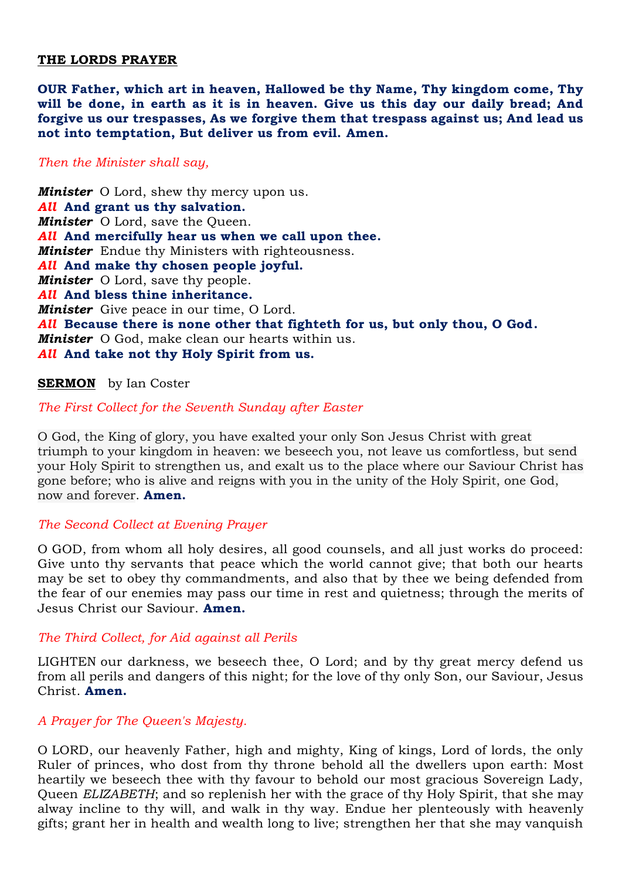#### **THE LORDS PRAYER**

**OUR Father, which art in heaven, Hallowed be thy Name, Thy kingdom come, Thy will be done, in earth as it is in heaven. Give us this day our daily bread; And forgive us our trespasses, As we forgive them that trespass against us; And lead us not into temptation, But deliver us from evil. Amen.**

#### *Then the Minister shall say,*

*Minister* O Lord, shew thy mercy upon us. *All* **And grant us thy salvation.** *Minister* O Lord, save the Queen. *All* **And mercifully hear us when we call upon thee.** *Minister* Endue thy Ministers with righteousness. *All* **And make thy chosen people joyful.** *Minister* O Lord, save thy people. *All* **And bless thine inheritance.** *Minister* Give peace in our time, O Lord. *All* **Because there is none other that fighteth for us, but only thou, O God.** *Minister* O God, make clean our hearts within us. *All* **And take not thy Holy Spirit from us.**

## **SERMON** by Ian Coster

## *The First Collect for the Seventh Sunday after Easter*

O God, the King of glory, you have exalted your only Son Jesus Christ with great triumph to your kingdom in heaven: we beseech you, not leave us comfortless, but send your Holy Spirit to strengthen us, and exalt us to the place where our Saviour Christ has gone before; who is alive and reigns with you in the unity of the Holy Spirit, one God, now and forever. **Amen.**

#### *The Second Collect at Evening Prayer*

O GOD, from whom all holy desires, all good counsels, and all just works do proceed: Give unto thy servants that peace which the world cannot give; that both our hearts may be set to obey thy commandments, and also that by thee we being defended from the fear of our enemies may pass our time in rest and quietness; through the merits of Jesus Christ our Saviour. **Amen.**

#### *The Third Collect, for Aid against all Perils*

LIGHTEN our darkness, we beseech thee, O Lord; and by thy great mercy defend us from all perils and dangers of this night; for the love of thy only Son, our Saviour, Jesus Christ. **Amen.**

#### *A Prayer for The Queen's Majesty.*

O LORD, our heavenly Father, high and mighty, King of kings, Lord of lords, the only Ruler of princes, who dost from thy throne behold all the dwellers upon earth: Most heartily we beseech thee with thy favour to behold our most gracious Sovereign Lady, Queen *ELIZABETH*; and so replenish her with the grace of thy Holy Spirit, that she may alway incline to thy will, and walk in thy way. Endue her plenteously with heavenly gifts; grant her in health and wealth long to live; strengthen her that she may vanquish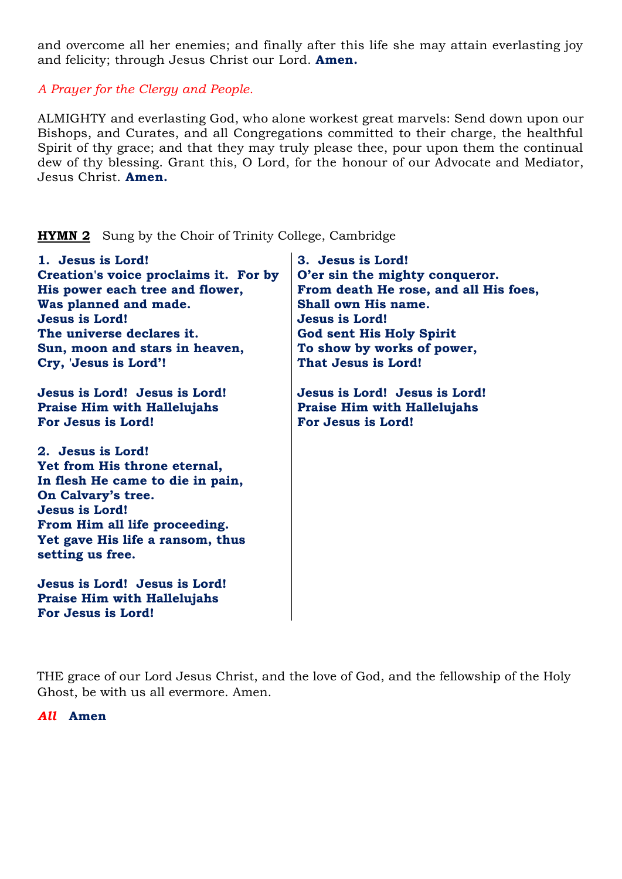and overcome all her enemies; and finally after this life she may attain everlasting joy and felicity; through Jesus Christ our Lord. **Amen.**

*A Prayer for the Clergy and People.*

ALMIGHTY and everlasting God, who alone workest great marvels: Send down upon our Bishops, and Curates, and all Congregations committed to their charge, the healthful Spirit of thy grace; and that they may truly please thee, pour upon them the continual dew of thy blessing. Grant this, O Lord, for the honour of our Advocate and Mediator, Jesus Christ. **Amen.**

| 1. Jesus is Lord!                     | 3. Jesus is Lord!                     |
|---------------------------------------|---------------------------------------|
| Creation's voice proclaims it. For by | O'er sin the mighty conqueror.        |
| His power each tree and flower,       | From death He rose, and all His foes, |
| Was planned and made.                 | Shall own His name.                   |
| <b>Jesus is Lord!</b>                 | <b>Jesus is Lord!</b>                 |
| The universe declares it.             | <b>God sent His Holy Spirit</b>       |
| Sun, moon and stars in heaven,        | To show by works of power,            |
| Cry, 'Jesus is Lord'!                 | That Jesus is Lord!                   |
| Jesus is Lord! Jesus is Lord!         | Jesus is Lord! Jesus is Lord!         |
| <b>Praise Him with Hallelujahs</b>    | <b>Praise Him with Hallelujahs</b>    |
| For Jesus is Lord!                    | For Jesus is Lord!                    |
| 2. Jesus is Lord!                     |                                       |
| Yet from His throne eternal,          |                                       |
| In flesh He came to die in pain,      |                                       |
| On Calvary's tree.                    |                                       |
| <b>Jesus is Lord!</b>                 |                                       |
| From Him all life proceeding.         |                                       |
| Yet gave His life a ransom, thus      |                                       |
| setting us free.                      |                                       |
| Jesus is Lord! Jesus is Lord!         |                                       |
| <b>Praise Him with Hallelujahs</b>    |                                       |
| For Jesus is Lord!                    |                                       |

**HYMN 2** Sung by the Choir of Trinity College, Cambridge

THE grace of our Lord Jesus Christ, and the love of God, and the fellowship of the Holy Ghost, be with us all evermore. Amen.

*All* **Amen**